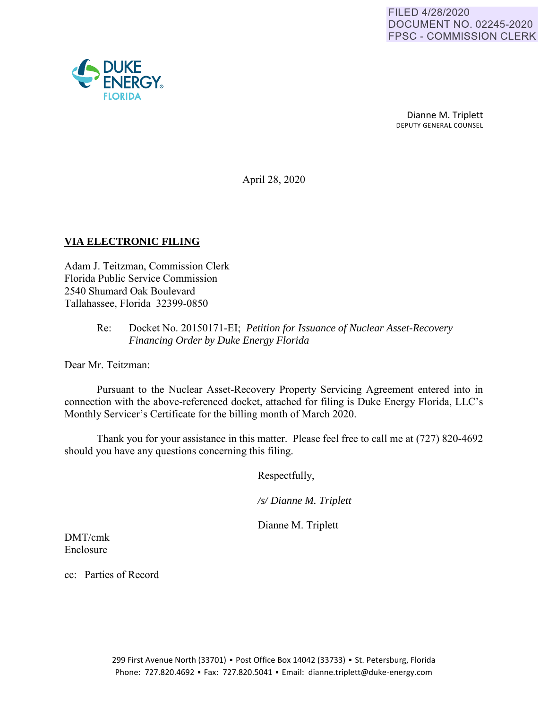

Dianne M. Triplett DEPUTY GENERAL COUNSEL

April 28, 2020

### **VIA ELECTRONIC FILING**

Adam J. Teitzman, Commission Clerk Florida Public Service Commission 2540 Shumard Oak Boulevard Tallahassee, Florida 32399-0850

### Re: Docket No. 20150171-EI; *Petition for Issuance of Nuclear Asset-Recovery Financing Order by Duke Energy Florida*

Dear Mr. Teitzman:

Pursuant to the Nuclear Asset-Recovery Property Servicing Agreement entered into in connection with the above-referenced docket, attached for filing is Duke Energy Florida, LLC's Monthly Servicer's Certificate for the billing month of March 2020.

Thank you for your assistance in this matter. Please feel free to call me at (727) 820-4692 should you have any questions concerning this filing.

Respectfully,

*/s/ Dianne M. Triplett*

Dianne M. Triplett

DMT/cmk Enclosure

cc: Parties of Record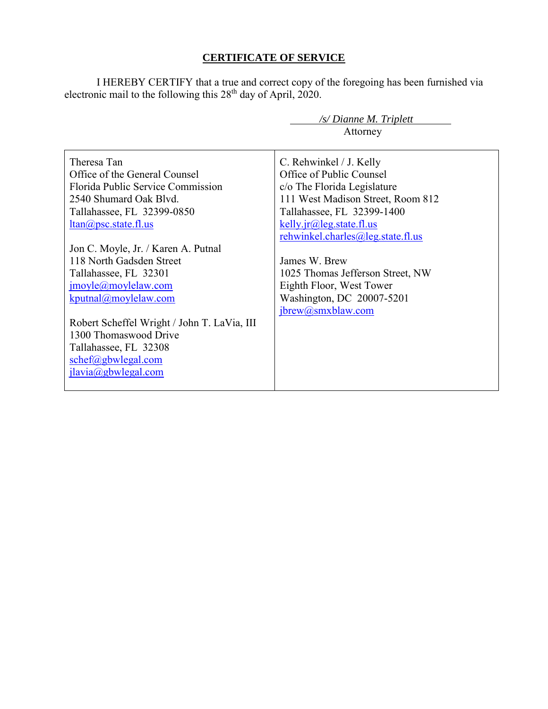## **CERTIFICATE OF SERVICE**

I HEREBY CERTIFY that a true and correct copy of the foregoing has been furnished via electronic mail to the following this 28<sup>th</sup> day of April, 2020.

| $\sqrt{s}$ Dianne M. Triplett               |                                   |  |
|---------------------------------------------|-----------------------------------|--|
|                                             | Attorney                          |  |
|                                             |                                   |  |
| Theresa Tan                                 | C. Rehwinkel / J. Kelly           |  |
| Office of the General Counsel               | Office of Public Counsel          |  |
| Florida Public Service Commission           | c/o The Florida Legislature       |  |
| 2540 Shumard Oak Blvd.                      | 111 West Madison Street, Room 812 |  |
| Tallahassee, FL 32399-0850                  | Tallahassee, FL 32399-1400        |  |
| $ltan(a)$ psc. state. fl.us                 | kelly.jr $@$ leg.state.fl.us      |  |
|                                             | rehwinkel.charles@leg.state.fl.us |  |
| Jon C. Moyle, Jr. / Karen A. Putnal         |                                   |  |
| 118 North Gadsden Street                    | James W. Brew                     |  |
| Tallahassee, FL 32301                       | 1025 Thomas Jefferson Street, NW  |  |
| $\text{imoyle}(a)$ moylelaw.com             | Eighth Floor, West Tower          |  |
| kputnal@movlelaw.com                        | Washington, DC 20007-5201         |  |
|                                             | jbrew@smxblaw.com                 |  |
| Robert Scheffel Wright / John T. LaVia, III |                                   |  |
| 1300 Thomaswood Drive                       |                                   |  |
| Tallahassee, FL 32308                       |                                   |  |
| schef@gbwlegal.com                          |                                   |  |
| $jlavia(\omega gbw$ legal.com               |                                   |  |
|                                             |                                   |  |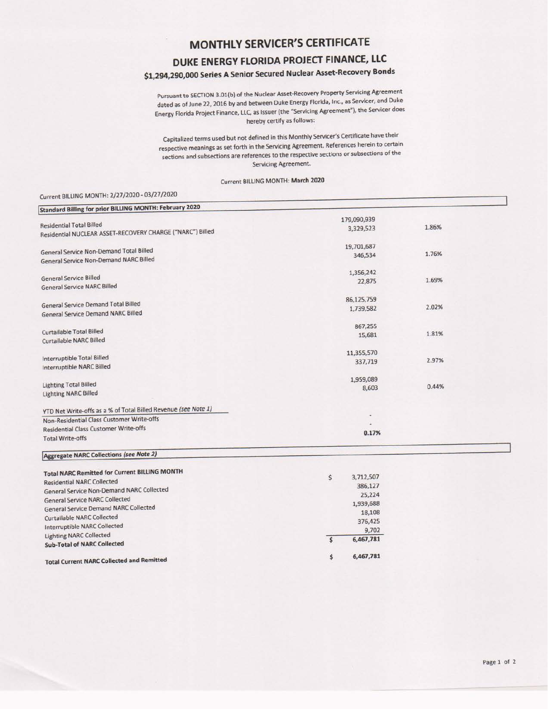## **MONTHLY SERVICER'S CERTIFICATE**

# **DUKE ENERGY FLORIDA PROJECT FINANCE, LLC**

## **\$1,294,290,000 Series A Senior Secured Nuclear Asset-Recovery Bonds**

Pursuant to SECTION 3.01{b) of the Nuclear Asset-Recovery Property Servicing Agreement dated as of June 22, 2016 by and between Duke Energy Florida, Inc., as Servicer, and Duke Energy Florida Project Finance, LLC, as Issuer (the "Servicing Agreement"), the Servicer does hereby certify as follows:

capitalized terms used but not defined in this Monthly Servicer's Certificate have their respective meanings as set forth in the Servicing Agreement. References herein to certain sections and subsections are references to the respective sections or subsections of the Servicing Agreement.

#### Current BILLING MONTH: **March** <sup>2020</sup>

### Current BILLING MONTH: 2/27/2020- 03/27/2020

| <b>Standard Billing for prior BILLING MONTH: February 2020</b> |                          |       |  |
|----------------------------------------------------------------|--------------------------|-------|--|
|                                                                | 179,090,939              |       |  |
| <b>Residential Total Billed</b>                                | 3,329,523                | 1.86% |  |
| Residential NUCLEAR ASSET-RECOVERY CHARGE ("NARC") Billed      |                          |       |  |
|                                                                | 19,701,687               |       |  |
| General Service Non-Demand Total Billed                        | 346,534                  | 1.76% |  |
| <b>General Service Non-Demand NARC Billed</b>                  |                          |       |  |
|                                                                | 1,356,242                |       |  |
| General Service Billed                                         | 22,875                   | 1.69% |  |
| <b>General Service NARC Billed</b>                             |                          |       |  |
|                                                                | 86,125,759               |       |  |
| <b>General Service Demand Total Billed</b>                     | 1,739,582                | 2.02% |  |
| <b>General Service Demand NARC Billed</b>                      |                          |       |  |
|                                                                | 867,255                  |       |  |
| Curtailable Total Billed                                       | 15,681                   | 1.81% |  |
| Curtailable NARC Billed                                        |                          |       |  |
|                                                                | 11,355,570               |       |  |
| Interruptible Total Billed                                     | 337,719                  | 2.97% |  |
| Interruptible NARC Billed                                      |                          |       |  |
|                                                                | 1,959,089                |       |  |
| <b>Lighting Total Billed</b>                                   | 8,603                    | 0.44% |  |
| <b>Lighting NARC Billed</b>                                    |                          |       |  |
| YTD Net Write-offs as a % of Total Billed Revenue (see Note 1) |                          |       |  |
| Non-Residential Class Customer Write-offs                      | $\overline{\phantom{a}}$ |       |  |
| <b>Residential Class Customer Write-offs</b>                   |                          |       |  |
| <b>Total Write-offs</b>                                        | 0.17%                    |       |  |
|                                                                |                          |       |  |

### I **Aggregate NARC** Collections **(see Note 2}**

| <b>Total NARC Remitted for Current BILLING MONTH</b> | \$<br>3,712,507 |
|------------------------------------------------------|-----------------|
| <b>Residential NARC Collected</b>                    | 386,127         |
| General Service Non-Demand NARC Collected            | 25,224          |
| <b>General Service NARC Collected</b>                | 1,939,688       |
| <b>General Service Demand NARC Collected</b>         |                 |
| <b>Curtailable NARC Collected</b>                    | 18,108          |
| Interruptible NARC Collected                         | 376,425         |
| <b>Lighting NARC Collected</b>                       | 9,702           |
| <b>Sub-Total of NARC Collected</b>                   | 6,467,781       |
| <b>Total Current NARC Collected and Remitted</b>     | \$<br>6,467,781 |